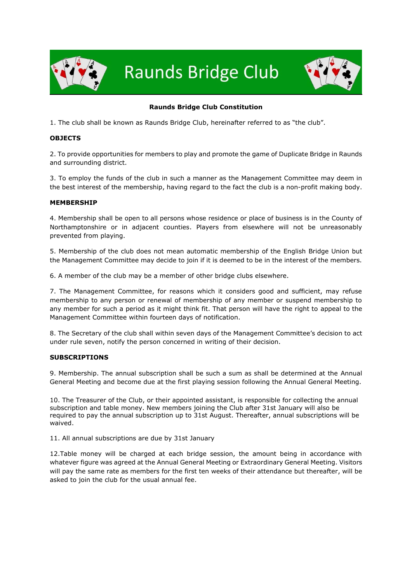

**Raunds Bridge Club** 



# **Raunds Bridge Club Constitution**

1. The club shall be known as Raunds Bridge Club, hereinafter referred to as "the club".

### **OBJECTS**

2. To provide opportunities for members to play and promote the game of Duplicate Bridge in Raunds and surrounding district.

3. To employ the funds of the club in such a manner as the Management Committee may deem in the best interest of the membership, having regard to the fact the club is a non-profit making body.

#### **MEMBERSHIP**

4. Membership shall be open to all persons whose residence or place of business is in the County of Northamptonshire or in adjacent counties. Players from elsewhere will not be unreasonably prevented from playing.

5. Membership of the club does not mean automatic membership of the English Bridge Union but the Management Committee may decide to join if it is deemed to be in the interest of the members.

6. A member of the club may be a member of other bridge clubs elsewhere.

7. The Management Committee, for reasons which it considers good and sufficient, may refuse membership to any person or renewal of membership of any member or suspend membership to any member for such a period as it might think fit. That person will have the right to appeal to the Management Committee within fourteen days of notification.

8. The Secretary of the club shall within seven days of the Management Committee's decision to act under rule seven, notify the person concerned in writing of their decision.

#### **SUBSCRIPTIONS**

9. Membership. The annual subscription shall be such a sum as shall be determined at the Annual General Meeting and become due at the first playing session following the Annual General Meeting.

10. The Treasurer of the Club, or their appointed assistant, is responsible for collecting the annual subscription and table money. New members joining the Club after 31st January will also be required to pay the annual subscription up to 31st August. Thereafter, annual subscriptions will be waived.

11. All annual subscriptions are due by 31st January

12.Table money will be charged at each bridge session, the amount being in accordance with whatever figure was agreed at the Annual General Meeting or Extraordinary General Meeting. Visitors will pay the same rate as members for the first ten weeks of their attendance but thereafter, will be asked to join the club for the usual annual fee.